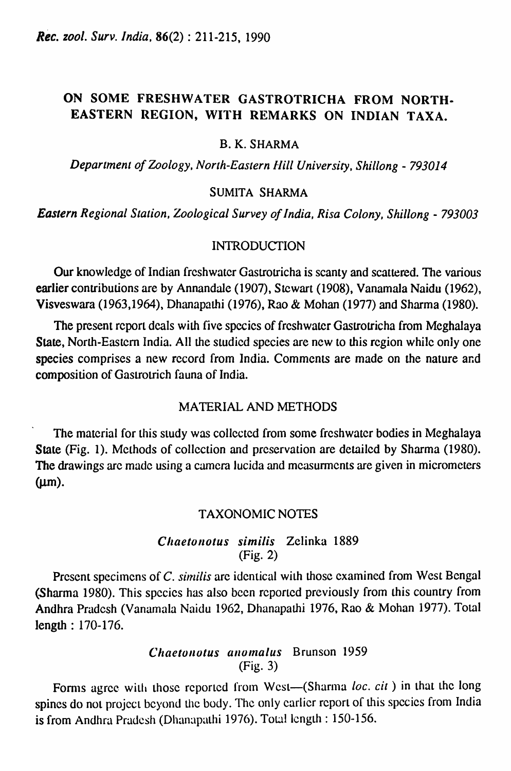# ON SOME FRESHWATER GASTROTRICHA FROM NORTH-EASTERN REGION, WITH REMARKS ON INDIAN TAXA.

### B. K. SHARMA

*Department of Zoology, North-Eastern flill University, Shillong* - *793014* 

#### SUMITA SHARMA

*Eastern Regional Station, Zoological Survey of India, Risa Colony, Shillong* - *793003* 

### INTRODUCTION

Our knowledge of Indian freshwater Gastrotricha is scanty and scattered. The various earlier contributions are by Annandale (1907), Stewart (1908), Vanamala Naidu (1962), Visveswara (1963,1964), Dhanapathi (1976), Rao & Mohan (1977) and Sharma (1980).

The present report deals with five spccies of freshwater Gastrotricha from Mcghalaya State, North-Eastern India. All the studied species are new to this region while only one species comprises a new record from India. Comments are made on the nature and composition of Gastrotrich fauna of India.

# MATERIAL AND METHODS

The material for this study was collected from some freshwater bodies in Meghalaya State (Fig. 1). Mcthods of collection and prcservation are detailed by Sharma (1980). The drawings arc made using a camera lucida and measurments are given in micrometers  $(\mu m)$ .

#### TAXONOMIC NOTES

### *Cilaelollotus simi/is* Zelinka 1889 (Fig. 2)

Present specimens of C. similis are identical with those examined from West Bengal (Sharma 1980). This species has also been reported previously from this country from Andhra Pradesh (Vanamala Naidu 1962, Dhanapathi 1976, Rao & Mohan 1977). Total length : 170-176.

# *Chaetonotus anomalus* Brunson 1959 (Fig. 3)

Forms agree with those reported from West-(Sharma *loc. cit*) in that the long spines do not project beyond the body. The only earlier report of this species from India is from Andhra Pradesh (Dhanapathi 1976). Total length : 150-156.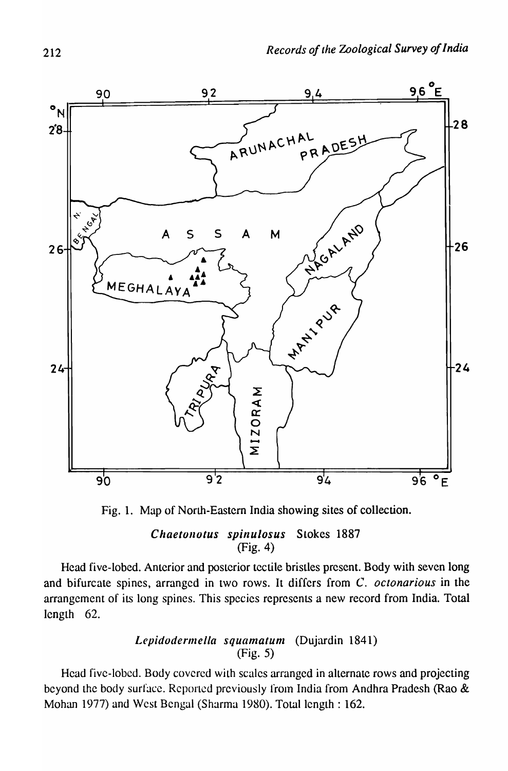

Fig. 1. Map of North-Eastern India showing sites of collection.

# Chaetonotus spinulosus Stokes 1887 (Fig. 4)

Head five-lobed. Anterior and posterior tectile bristles present. Body with seven long and bifurcate spines, arranged in two rows. It differs from C. *octonarious* in the arrangement of its long spines. This species represents a new record from India. Total length 62.

# Lepidodermella squamatum (Dujardin 1841) (Fig. 5)

Head five-lobed. Body covered with scales arranged in alternate rows and projecting beyond the body surface. Reported previously from India from Andhra Pradesh (Rao  $\&$ Mohan 1977) and West Bengal (Sharma 1980). Total length : 162.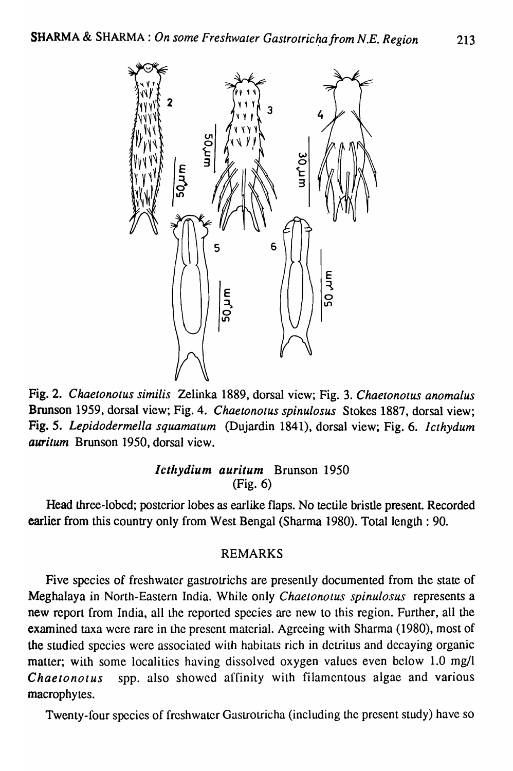

Fig. 2. *Chaetonotus similis* Zelinka 1889, dorsal view; Fig. 3. *Chaetonotus anomalus*  Brunson 1959, dorsal view; Fig. 4. *Chaetonotus spinulosus* Stokes 1887, dorsal view; Fig. 5. *Lepidodermella squamatum* (Dujardin 1841), dorsal view; Fig. 6. *Icthydum auritum* Brunson 1950, dorsal view.

# */ctllydium auritum* Brunson 1950 (Fig. 6)

Head three-lobed; posterior lobes as earlike flaps. No tectile bristle present. Recorded earlier from this country only from West Bengal (Sharma 1980). Total length : 90.

# REMARKS

Five species of freshwater gastrotrichs are presently documented from the state of Meghalaya in North-Eastern India. While only *Chaetonotus spinulosus* represents a new report from India, all the reported species are new to this region. Further, all the examined taxa were rare in the present material. Agrccing with Sharma (1980), most of the studied species were associated with habitats rich in detritus and decaying organic matter; with some localities having dissolved oxygen values even below 1.0 mg/l C *hae to not us* spp. also showed affinity with filamentous algae and various macrophytes.

Twenty-four species of freshwater Gastrotricha (including the present study) have so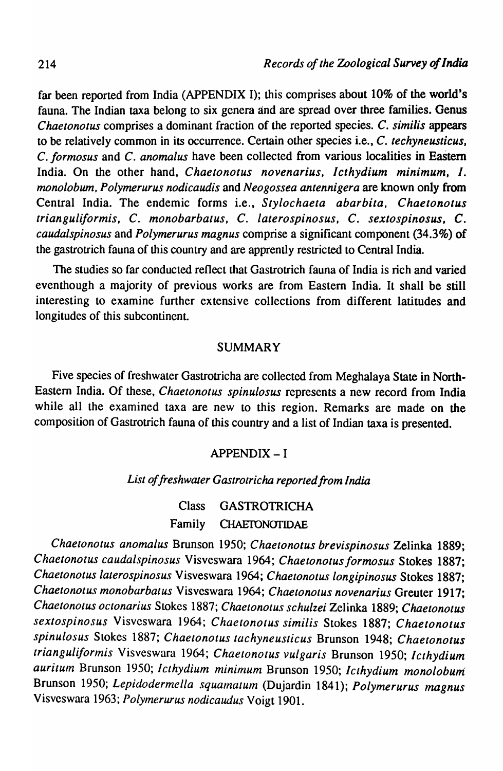far been reported from India (APPENDIX I); this comprises about 10% of the world's fauna. The Indian taxa belong to six genera and are spread over three families. Genus C *haetonotus* comprises a dominant fraction of the reported species. C. *similis* appears to be relatively common in *its* occurrence. Certain other species i.e., C. *techyneusticus.*  C. *formosus* and C. *anomalus* have been collected from various localities in EaStern India. On the other hand, *Chaetonotus novenarius, Icthydium minimum,* I. *monolobum, Polymerurus nodicaudis* and *Neogossea antennigera* are known only from Central India. The endemic forms i.e., *Stylochaeta abarbita*, *Chaetonotus trianguliformis,* C. *monobarbatus,* C. *laterospinosus,* C. *sextospinosus,* C. *caudalspinosus* and *Polymerurus magnus* comprise a significant component (34.3%) of the gastrotrich fauna of this country and are apprently restricted to Central India.

The studies so far conducted reflect that Gastrotrich fauna of India is rich and varied even though a majority of previous works are from Eastern India. It shall be still interesting to examine further extensive collections from different latitudes and longitudes of this subcontinent.

#### SUMMARY

Five species of freshwater Gastrotricha are collected from Meghalaya State in North-Eastern India. Of these, *Chaetonotus spinulosus* represents a new record from India while all the examined taxa are new to this region. Remarks are made on the composition of Gastrotrich fauna of this country and a list of Indian taxa is presented.

#### APPENDIX-I

## List of freshwater Gastrotricha reported from India

Class GASTROTRICHA Family CHAETONOTIDAE

*Chaetonotus anomalus* Brunson 1950; *Chaelonotus brevispinosus* Zelinka 1889; *Chaetonotus caudalspinosus* Visveswara 1964; *Chaetonotusformosus* Stokes 1887; *Chaetonotus laterospinosus* Visveswara 1964; *Chaetonotus longipinosus* Stokes 1887; *Chaetonotus monobarbatus* Visveswara 1964; *Chaetonotus novenarius* Greuter 1917; *Chaetonotus octonarius* Slokes 1887; *Chaetonolus schulzei* Zelinka 1889; *Chaetonotus sextospinosus* Visveswara 1964; *Chaetonotus similis* Stokes 1887; *Chaetonotus spinulosus* Slokes 1887; *Chaetonotus tachyneusticus* Brunson 1948; *Chaetonotus trianguliformis* Visveswara 1964; *Chaetonotus vulgaris* Brunson 1950; *Icthydium*  auritum Brunson 1950; *Icthydium minimum* Brunson 1950; *Icthydium monolobum* Brunson 1950; *Lepidodermel/a squarnutum* (Dujardin 1841); *Polymerurus magnus*  Visveswara 1963; *Polymerurus nodicaudus* Voigt 1901.